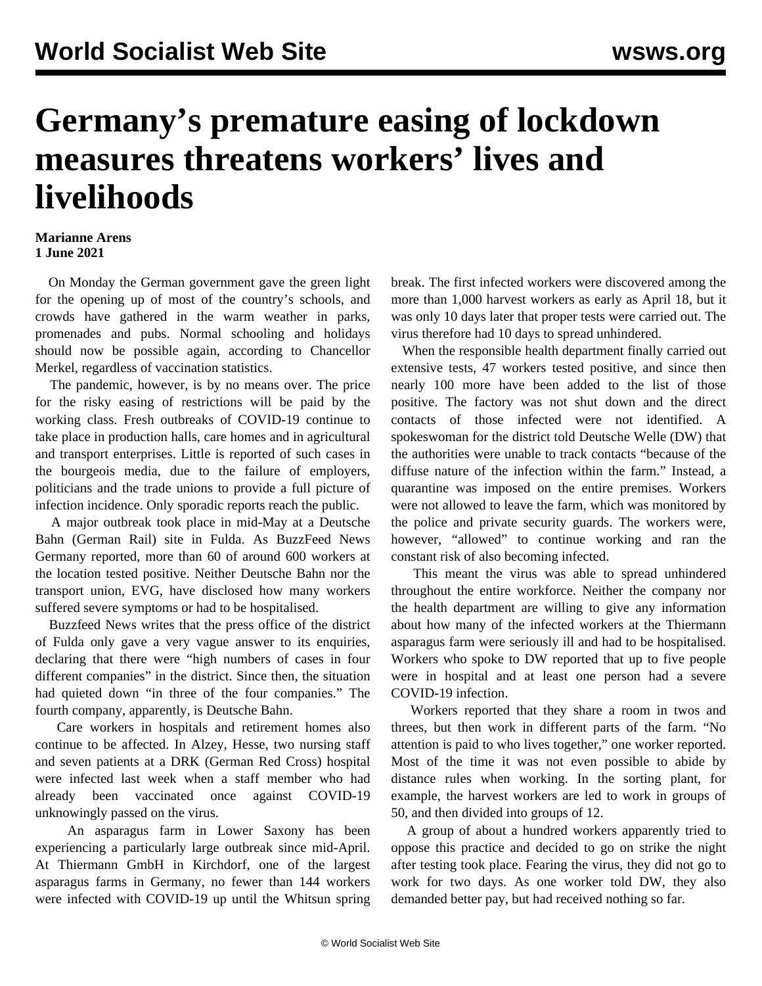## **Germany's premature easing of lockdown measures threatens workers' lives and livelihoods**

## **Marianne Arens 1 June 2021**

 On Monday the German government gave the green light for the opening up of most of the country's schools, and crowds have gathered in the warm weather in parks, promenades and pubs. Normal schooling and holidays should now be possible again, according to Chancellor Merkel, regardless of vaccination statistics.

 The pandemic, however, is by no means over. The price for the risky easing of restrictions will be paid by the working class. Fresh outbreaks of COVID-19 continue to take place in production halls, care homes and in agricultural and transport enterprises. Little is reported of such cases in the bourgeois media, due to the failure of employers, politicians and the trade unions to provide a full picture of infection incidence. Only sporadic reports reach the public.

 A major outbreak took place in mid-May at a Deutsche Bahn (German Rail) site in Fulda. As BuzzFeed News Germany reported, more than 60 of around 600 workers at the location tested positive. Neither Deutsche Bahn nor the transport union, EVG, have disclosed how many workers suffered severe symptoms or had to be hospitalised.

 Buzzfeed News writes that the press office of the district of Fulda only gave a very vague answer to its enquiries, declaring that there were "high numbers of cases in four different companies" in the district. Since then, the situation had quieted down "in three of the four companies." The fourth company, apparently, is Deutsche Bahn.

 Care workers in hospitals and retirement homes also continue to be affected. In Alzey, Hesse, two nursing staff and seven patients at a DRK (German Red Cross) hospital were infected last week when a staff member who had already been vaccinated once against COVID-19 unknowingly passed on the virus.

 An asparagus farm in Lower Saxony has been experiencing a particularly large outbreak since mid-April. At Thiermann GmbH in Kirchdorf, one of the largest asparagus farms in Germany, no fewer than 144 workers were infected with COVID-19 up until the Whitsun spring break. The first infected workers were discovered among the more than 1,000 harvest workers as early as April 18, but it was only 10 days later that proper tests were carried out. The virus therefore had 10 days to spread unhindered.

 When the responsible health department finally carried out extensive tests, 47 workers tested positive, and since then nearly 100 more have been added to the list of those positive. The factory was not shut down and the direct contacts of those infected were not identified. A spokeswoman for the district told Deutsche Welle (DW) that the authorities were unable to track contacts "because of the diffuse nature of the infection within the farm." Instead, a quarantine was imposed on the entire premises. Workers were not allowed to leave the farm, which was monitored by the police and private security guards. The workers were, however, "allowed" to continue working and ran the constant risk of also becoming infected.

 This meant the virus was able to spread unhindered throughout the entire workforce. Neither the company nor the health department are willing to give any information about how many of the infected workers at the Thiermann asparagus farm were seriously ill and had to be hospitalised. Workers who spoke to DW reported that up to five people were in hospital and at least one person had a severe COVID-19 infection.

 Workers reported that they share a room in twos and threes, but then work in different parts of the farm. "No attention is paid to who lives together," one worker reported. Most of the time it was not even possible to abide by distance rules when working. In the sorting plant, for example, the harvest workers are led to work in groups of 50, and then divided into groups of 12.

 A group of about a hundred workers apparently tried to oppose this practice and decided to go on strike the night after testing took place. Fearing the virus, they did not go to work for two days. As one worker told DW, they also demanded better pay, but had received nothing so far.